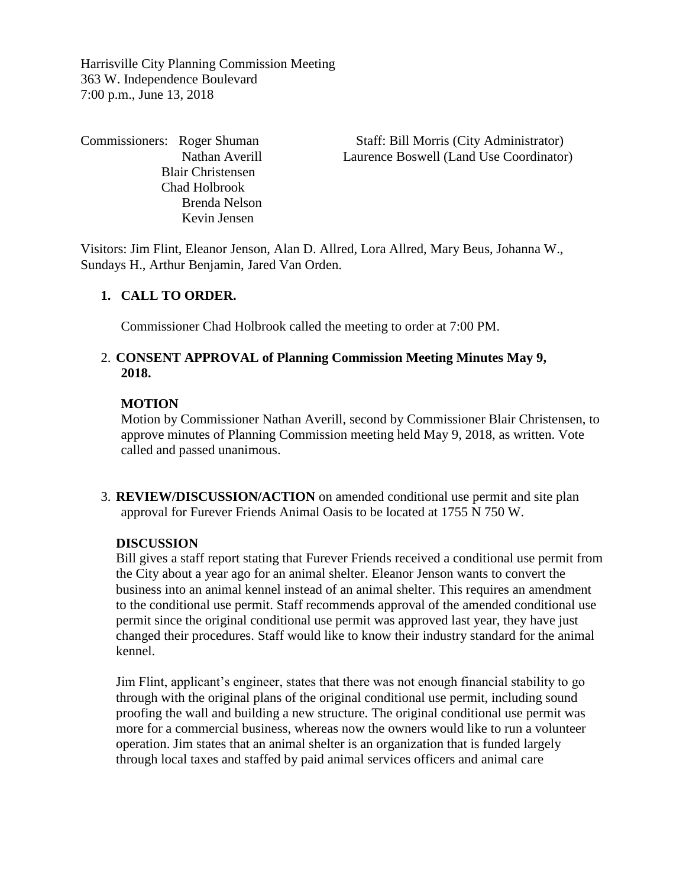Harrisville City Planning Commission Meeting 363 W. Independence Boulevard 7:00 p.m., June 13, 2018

 Blair Christensen Chad Holbrook Brenda Nelson Kevin Jensen

Commissioners: Roger Shuman Staff: Bill Morris (City Administrator) Nathan Averill Laurence Boswell (Land Use Coordinator)

Visitors: Jim Flint, Eleanor Jenson, Alan D. Allred, Lora Allred, Mary Beus, Johanna W., Sundays H., Arthur Benjamin, Jared Van Orden.

## **1. CALL TO ORDER.**

Commissioner Chad Holbrook called the meeting to order at 7:00 PM.

### 2. **CONSENT APPROVAL of Planning Commission Meeting Minutes May 9, 2018.**

#### **MOTION**

Motion by Commissioner Nathan Averill, second by Commissioner Blair Christensen, to approve minutes of Planning Commission meeting held May 9, 2018, as written. Vote called and passed unanimous.

3. **REVIEW/DISCUSSION/ACTION** on amended conditional use permit and site plan approval for Furever Friends Animal Oasis to be located at 1755 N 750 W.

#### **DISCUSSION**

Bill gives a staff report stating that Furever Friends received a conditional use permit from the City about a year ago for an animal shelter. Eleanor Jenson wants to convert the business into an animal kennel instead of an animal shelter. This requires an amendment to the conditional use permit. Staff recommends approval of the amended conditional use permit since the original conditional use permit was approved last year, they have just changed their procedures. Staff would like to know their industry standard for the animal kennel.

Jim Flint, applicant's engineer, states that there was not enough financial stability to go through with the original plans of the original conditional use permit, including sound proofing the wall and building a new structure. The original conditional use permit was more for a commercial business, whereas now the owners would like to run a volunteer operation. Jim states that an animal shelter is an organization that is funded largely through local taxes and staffed by paid animal services officers and animal care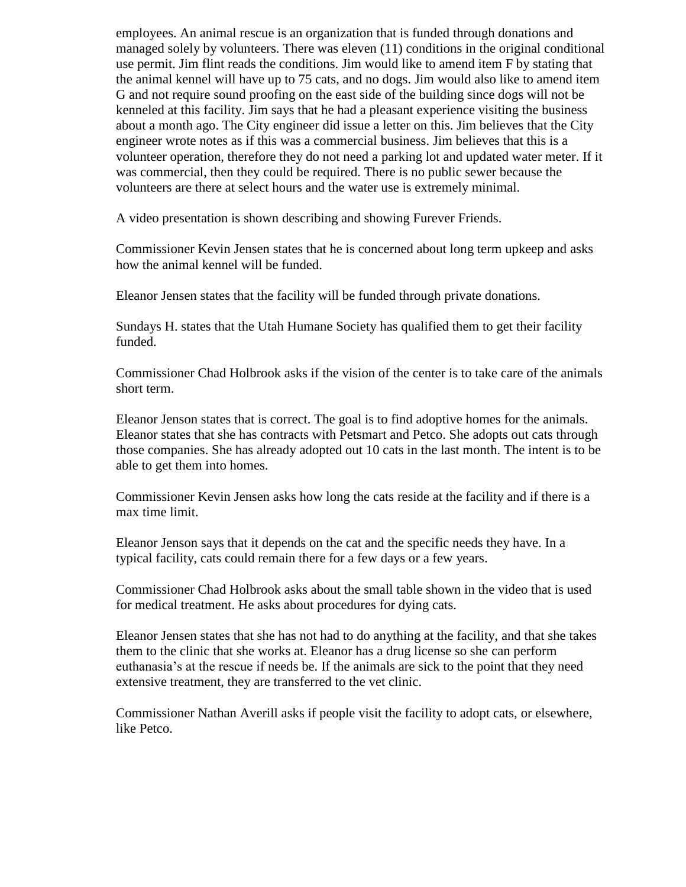employees. An animal rescue is an organization that is funded through donations and managed solely by volunteers. There was eleven (11) conditions in the original conditional use permit. Jim flint reads the conditions. Jim would like to amend item F by stating that the animal kennel will have up to 75 cats, and no dogs. Jim would also like to amend item G and not require sound proofing on the east side of the building since dogs will not be kenneled at this facility. Jim says that he had a pleasant experience visiting the business about a month ago. The City engineer did issue a letter on this. Jim believes that the City engineer wrote notes as if this was a commercial business. Jim believes that this is a volunteer operation, therefore they do not need a parking lot and updated water meter. If it was commercial, then they could be required. There is no public sewer because the volunteers are there at select hours and the water use is extremely minimal.

A video presentation is shown describing and showing Furever Friends.

Commissioner Kevin Jensen states that he is concerned about long term upkeep and asks how the animal kennel will be funded.

Eleanor Jensen states that the facility will be funded through private donations.

Sundays H. states that the Utah Humane Society has qualified them to get their facility funded.

Commissioner Chad Holbrook asks if the vision of the center is to take care of the animals short term.

Eleanor Jenson states that is correct. The goal is to find adoptive homes for the animals. Eleanor states that she has contracts with Petsmart and Petco. She adopts out cats through those companies. She has already adopted out 10 cats in the last month. The intent is to be able to get them into homes.

Commissioner Kevin Jensen asks how long the cats reside at the facility and if there is a max time limit.

Eleanor Jenson says that it depends on the cat and the specific needs they have. In a typical facility, cats could remain there for a few days or a few years.

Commissioner Chad Holbrook asks about the small table shown in the video that is used for medical treatment. He asks about procedures for dying cats.

Eleanor Jensen states that she has not had to do anything at the facility, and that she takes them to the clinic that she works at. Eleanor has a drug license so she can perform euthanasia's at the rescue if needs be. If the animals are sick to the point that they need extensive treatment, they are transferred to the vet clinic.

Commissioner Nathan Averill asks if people visit the facility to adopt cats, or elsewhere, like Petco.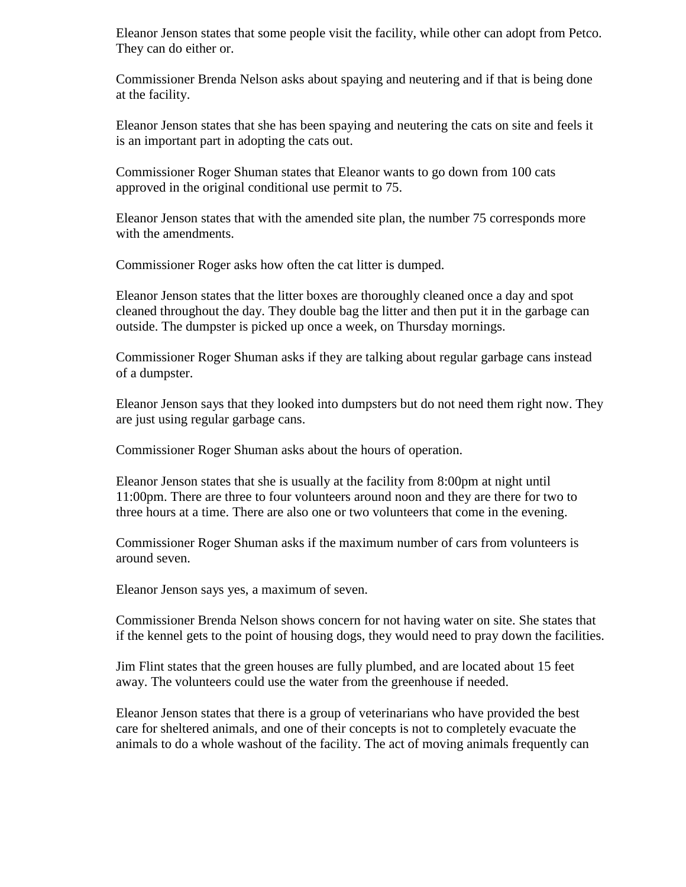Eleanor Jenson states that some people visit the facility, while other can adopt from Petco. They can do either or.

Commissioner Brenda Nelson asks about spaying and neutering and if that is being done at the facility.

Eleanor Jenson states that she has been spaying and neutering the cats on site and feels it is an important part in adopting the cats out.

Commissioner Roger Shuman states that Eleanor wants to go down from 100 cats approved in the original conditional use permit to 75.

Eleanor Jenson states that with the amended site plan, the number 75 corresponds more with the amendments.

Commissioner Roger asks how often the cat litter is dumped.

Eleanor Jenson states that the litter boxes are thoroughly cleaned once a day and spot cleaned throughout the day. They double bag the litter and then put it in the garbage can outside. The dumpster is picked up once a week, on Thursday mornings.

Commissioner Roger Shuman asks if they are talking about regular garbage cans instead of a dumpster.

Eleanor Jenson says that they looked into dumpsters but do not need them right now. They are just using regular garbage cans.

Commissioner Roger Shuman asks about the hours of operation.

Eleanor Jenson states that she is usually at the facility from 8:00pm at night until 11:00pm. There are three to four volunteers around noon and they are there for two to three hours at a time. There are also one or two volunteers that come in the evening.

Commissioner Roger Shuman asks if the maximum number of cars from volunteers is around seven.

Eleanor Jenson says yes, a maximum of seven.

Commissioner Brenda Nelson shows concern for not having water on site. She states that if the kennel gets to the point of housing dogs, they would need to pray down the facilities.

Jim Flint states that the green houses are fully plumbed, and are located about 15 feet away. The volunteers could use the water from the greenhouse if needed.

Eleanor Jenson states that there is a group of veterinarians who have provided the best care for sheltered animals, and one of their concepts is not to completely evacuate the animals to do a whole washout of the facility. The act of moving animals frequently can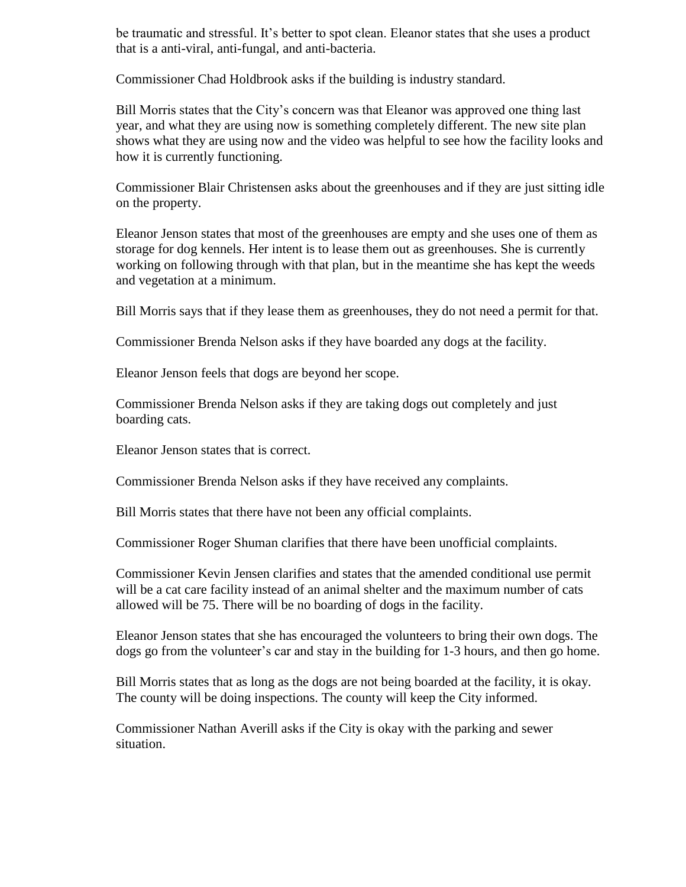be traumatic and stressful. It's better to spot clean. Eleanor states that she uses a product that is a anti-viral, anti-fungal, and anti-bacteria.

Commissioner Chad Holdbrook asks if the building is industry standard.

Bill Morris states that the City's concern was that Eleanor was approved one thing last year, and what they are using now is something completely different. The new site plan shows what they are using now and the video was helpful to see how the facility looks and how it is currently functioning.

Commissioner Blair Christensen asks about the greenhouses and if they are just sitting idle on the property.

Eleanor Jenson states that most of the greenhouses are empty and she uses one of them as storage for dog kennels. Her intent is to lease them out as greenhouses. She is currently working on following through with that plan, but in the meantime she has kept the weeds and vegetation at a minimum.

Bill Morris says that if they lease them as greenhouses, they do not need a permit for that.

Commissioner Brenda Nelson asks if they have boarded any dogs at the facility.

Eleanor Jenson feels that dogs are beyond her scope.

Commissioner Brenda Nelson asks if they are taking dogs out completely and just boarding cats.

Eleanor Jenson states that is correct.

Commissioner Brenda Nelson asks if they have received any complaints.

Bill Morris states that there have not been any official complaints.

Commissioner Roger Shuman clarifies that there have been unofficial complaints.

Commissioner Kevin Jensen clarifies and states that the amended conditional use permit will be a cat care facility instead of an animal shelter and the maximum number of cats allowed will be 75. There will be no boarding of dogs in the facility.

Eleanor Jenson states that she has encouraged the volunteers to bring their own dogs. The dogs go from the volunteer's car and stay in the building for 1-3 hours, and then go home.

Bill Morris states that as long as the dogs are not being boarded at the facility, it is okay. The county will be doing inspections. The county will keep the City informed.

Commissioner Nathan Averill asks if the City is okay with the parking and sewer situation.